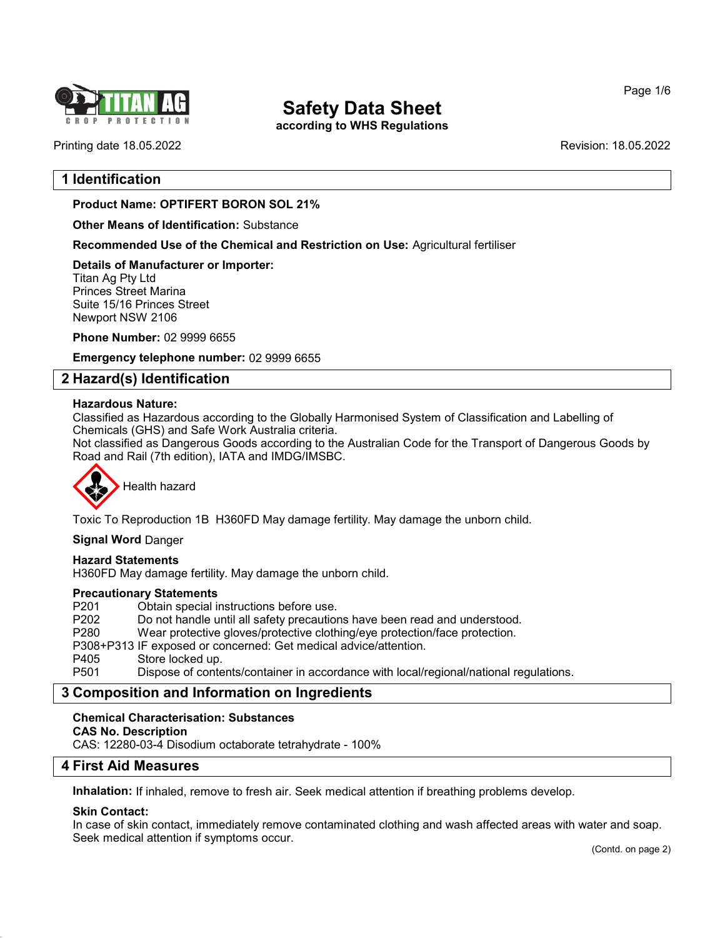

according to WHS Regulations

Page 1/6

Printing date 18.05.2022 Revision: 18.05.2022

## 1 Identification

Product Name: OPTIFERT BORON SOL 21%

Other Means of Identification: Substance

Recommended Use of the Chemical and Restriction on Use: Agricultural fertiliser

Details of Manufacturer or Importer: Titan Ag Pty Ltd Princes Street Marina

Suite 15/16 Princes Street Newport NSW 2106

Phone Number: 02 9999 6655

Emergency telephone number: 02 9999 6655

## 2 Hazard(s) Identification

## Hazardous Nature:

Classified as Hazardous according to the Globally Harmonised System of Classification and Labelling of Chemicals (GHS) and Safe Work Australia criteria.

Not classified as Dangerous Goods according to the Australian Code for the Transport of Dangerous Goods by Road and Rail (7th edition), IATA and IMDG/IMSBC.



Health hazard

Toxic To Reproduction 1B H360FD May damage fertility. May damage the unborn child.

Signal Word Danger

#### Hazard Statements

H360FD May damage fertility. May damage the unborn child.

#### Precautionary Statements

P201 Obtain special instructions before use.<br>P202 Do not handle until all safety precaution P202 Do not handle until all safety precautions have been read and understood.<br>P280 Wear protective gloves/protective clothing/eve protection/face protection. Wear protective gloves/protective clothing/eye protection/face protection. P308+P313 IF exposed or concerned: Get medical advice/attention. Store locked up. P501 Dispose of contents/container in accordance with local/regional/national regulations.

## 3 Composition and Information on Ingredients

#### Chemical Characterisation: Substances

#### CAS No. Description

CAS: 12280-03-4 Disodium octaborate tetrahydrate - 100%

## 4 First Aid Measures

Inhalation: If inhaled, remove to fresh air. Seek medical attention if breathing problems develop.

## Skin Contact:

54.0

In case of skin contact, immediately remove contaminated clothing and wash affected areas with water and soap. Seek medical attention if symptoms occur.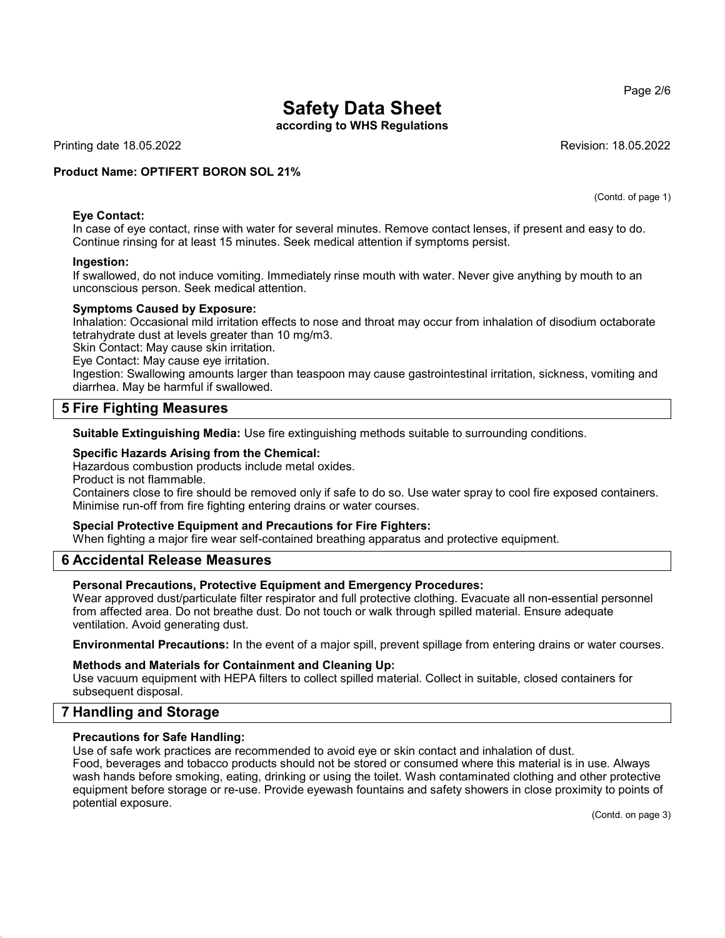according to WHS Regulations

Printing date 18.05.2022 Revision: 18.05.2022

(Contd. of page 1)

## Product Name: OPTIFERT BORON SOL 21%

## Eye Contact:

In case of eye contact, rinse with water for several minutes. Remove contact lenses, if present and easy to do. Continue rinsing for at least 15 minutes. Seek medical attention if symptoms persist.

#### Ingestion:

If swallowed, do not induce vomiting. Immediately rinse mouth with water. Never give anything by mouth to an unconscious person. Seek medical attention.

## Symptoms Caused by Exposure:

Inhalation: Occasional mild irritation effects to nose and throat may occur from inhalation of disodium octaborate tetrahydrate dust at levels greater than 10 mg/m3.

Skin Contact: May cause skin irritation.

Eye Contact: May cause eye irritation.

Ingestion: Swallowing amounts larger than teaspoon may cause gastrointestinal irritation, sickness, vomiting and diarrhea. May be harmful if swallowed.

## 5 Fire Fighting Measures

Suitable Extinguishing Media: Use fire extinguishing methods suitable to surrounding conditions.

## Specific Hazards Arising from the Chemical:

Hazardous combustion products include metal oxides.

Product is not flammable.

Containers close to fire should be removed only if safe to do so. Use water spray to cool fire exposed containers. Minimise run-off from fire fighting entering drains or water courses.

## Special Protective Equipment and Precautions for Fire Fighters:

When fighting a major fire wear self-contained breathing apparatus and protective equipment.

## 6 Accidental Release Measures

## Personal Precautions, Protective Equipment and Emergency Procedures:

Wear approved dust/particulate filter respirator and full protective clothing. Evacuate all non-essential personnel from affected area. Do not breathe dust. Do not touch or walk through spilled material. Ensure adequate ventilation. Avoid generating dust.

Environmental Precautions: In the event of a major spill, prevent spillage from entering drains or water courses.

## Methods and Materials for Containment and Cleaning Up:

Use vacuum equipment with HEPA filters to collect spilled material. Collect in suitable, closed containers for subsequent disposal.

## 7 Handling and Storage

54.0

## Precautions for Safe Handling:

Use of safe work practices are recommended to avoid eye or skin contact and inhalation of dust. Food, beverages and tobacco products should not be stored or consumed where this material is in use. Always wash hands before smoking, eating, drinking or using the toilet. Wash contaminated clothing and other protective equipment before storage or re-use. Provide eyewash fountains and safety showers in close proximity to points of potential exposure.

(Contd. on page 3)

Page 2/6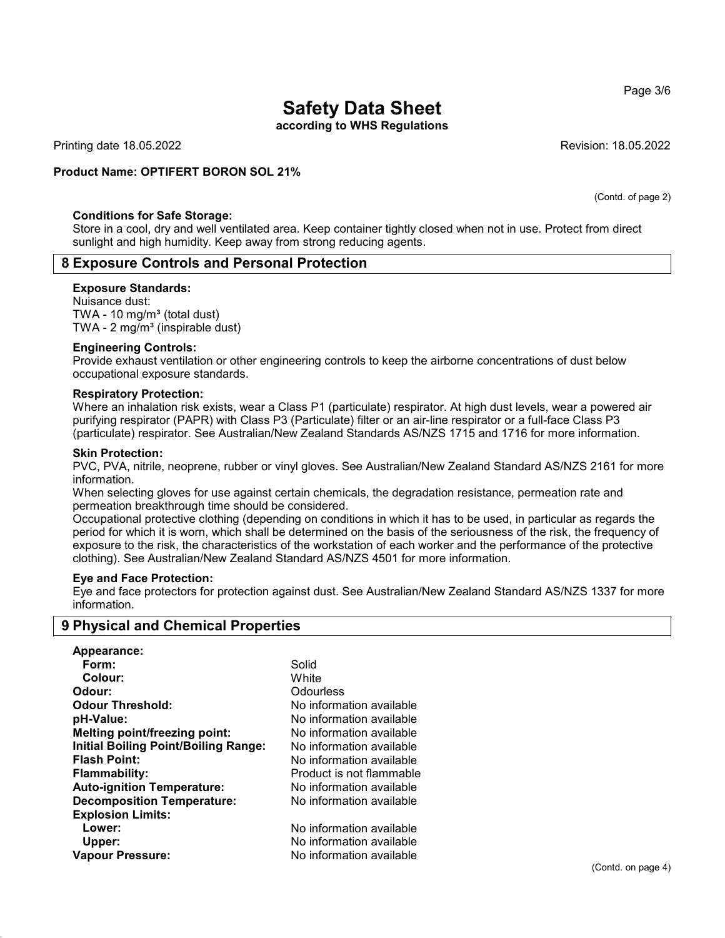according to WHS Regulations

Printing date 18.05.2022 Revision: 18.05.2022

## Product Name: OPTIFERT BORON SOL 21%

#### Conditions for Safe Storage:

Store in a cool, dry and well ventilated area. Keep container tightly closed when not in use. Protect from direct sunlight and high humidity. Keep away from strong reducing agents.

## 8 Exposure Controls and Personal Protection

#### Exposure Standards:

Nuisance dust: TWA - 10  $mg/m<sup>3</sup>$  (total dust) TWA -  $2 \text{ mg/m}^3$  (inspirable dust)

#### Engineering Controls:

Provide exhaust ventilation or other engineering controls to keep the airborne concentrations of dust below occupational exposure standards.

#### Respiratory Protection:

Where an inhalation risk exists, wear a Class P1 (particulate) respirator. At high dust levels, wear a powered air purifying respirator (PAPR) with Class P3 (Particulate) filter or an air-line respirator or a full-face Class P3 (particulate) respirator. See Australian/New Zealand Standards AS/NZS 1715 and 1716 for more information.

#### Skin Protection:

54.0

PVC, PVA, nitrile, neoprene, rubber or vinyl gloves. See Australian/New Zealand Standard AS/NZS 2161 for more information.

When selecting gloves for use against certain chemicals, the degradation resistance, permeation rate and permeation breakthrough time should be considered.

Occupational protective clothing (depending on conditions in which it has to be used, in particular as regards the period for which it is worn, which shall be determined on the basis of the seriousness of the risk, the frequency of exposure to the risk, the characteristics of the workstation of each worker and the performance of the protective clothing). See Australian/New Zealand Standard AS/NZS 4501 for more information.

## Eye and Face Protection:

Eye and face protectors for protection against dust. See Australian/New Zealand Standard AS/NZS 1337 for more information.

## 9 Physical and Chemical Properties

| Appearance:                                 |                          |
|---------------------------------------------|--------------------------|
| Form:                                       | Solid                    |
| Colour:                                     | White                    |
| Odour:                                      | Odourless                |
| <b>Odour Threshold:</b>                     | No information available |
| pH-Value:                                   | No information available |
| Melting point/freezing point:               | No information available |
| <b>Initial Boiling Point/Boiling Range:</b> | No information available |
| <b>Flash Point:</b>                         | No information available |
| <b>Flammability:</b>                        | Product is not flammable |
| <b>Auto-ignition Temperature:</b>           | No information available |
| <b>Decomposition Temperature:</b>           | No information available |
| <b>Explosion Limits:</b>                    |                          |
| Lower:                                      | No information available |
| Upper:                                      | No information available |
| <b>Vapour Pressure:</b>                     | No information available |

(Contd. of page 2)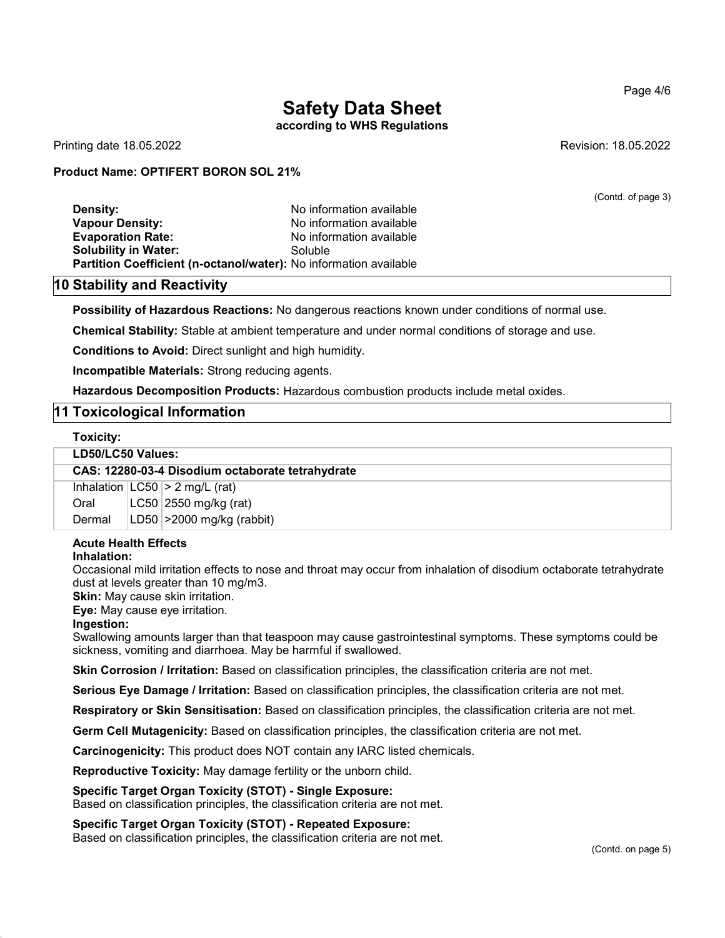according to WHS Regulations

Printing date 18.05.2022 Revision: 18.05.2022

(Contd. of page 3)

## Product Name: OPTIFERT BORON SOL 21%

| Density:                                                          | No information available |
|-------------------------------------------------------------------|--------------------------|
| Vapour Density:                                                   | No information available |
| <b>Evaporation Rate:</b>                                          | No information available |
| Solubility in Water:                                              | Soluble                  |
| Partition Coefficient (n-octanol/water): No information available |                          |

## 10 Stability and Reactivity

Possibility of Hazardous Reactions: No dangerous reactions known under conditions of normal use.

Chemical Stability: Stable at ambient temperature and under normal conditions of storage and use.

Conditions to Avoid: Direct sunlight and high humidity.

Incompatible Materials: Strong reducing agents.

Hazardous Decomposition Products: Hazardous combustion products include metal oxides.

## 11 Toxicological Information

#### Toxicity:

#### LD50/LC50 Values:

CAS: 12280-03-4 Disodium octaborate tetrahydrate

Inhalation  $|LC50| > 2$  mg/L (rat) Oral LC50 2550 mg/kg (rat) Dermal | LD50 | > 2000 mg/kg (rabbit)

## Acute Health Effects

#### Inhalation:

Occasional mild irritation effects to nose and throat may occur from inhalation of disodium octaborate tetrahydrate dust at levels greater than 10 mg/m3.

Skin: May cause skin irritation.

Eye: May cause eye irritation.

Ingestion:

54.0

Swallowing amounts larger than that teaspoon may cause gastrointestinal symptoms. These symptoms could be sickness, vomiting and diarrhoea. May be harmful if swallowed.

Skin Corrosion / Irritation: Based on classification principles, the classification criteria are not met.

Serious Eye Damage / Irritation: Based on classification principles, the classification criteria are not met.

Respiratory or Skin Sensitisation: Based on classification principles, the classification criteria are not met.

Germ Cell Mutagenicity: Based on classification principles, the classification criteria are not met.

Carcinogenicity: This product does NOT contain any IARC listed chemicals.

Reproductive Toxicity: May damage fertility or the unborn child.

#### Specific Target Organ Toxicity (STOT) - Single Exposure:

Based on classification principles, the classification criteria are not met.

Specific Target Organ Toxicity (STOT) - Repeated Exposure: Based on classification principles, the classification criteria are not met.

#### Page 4/6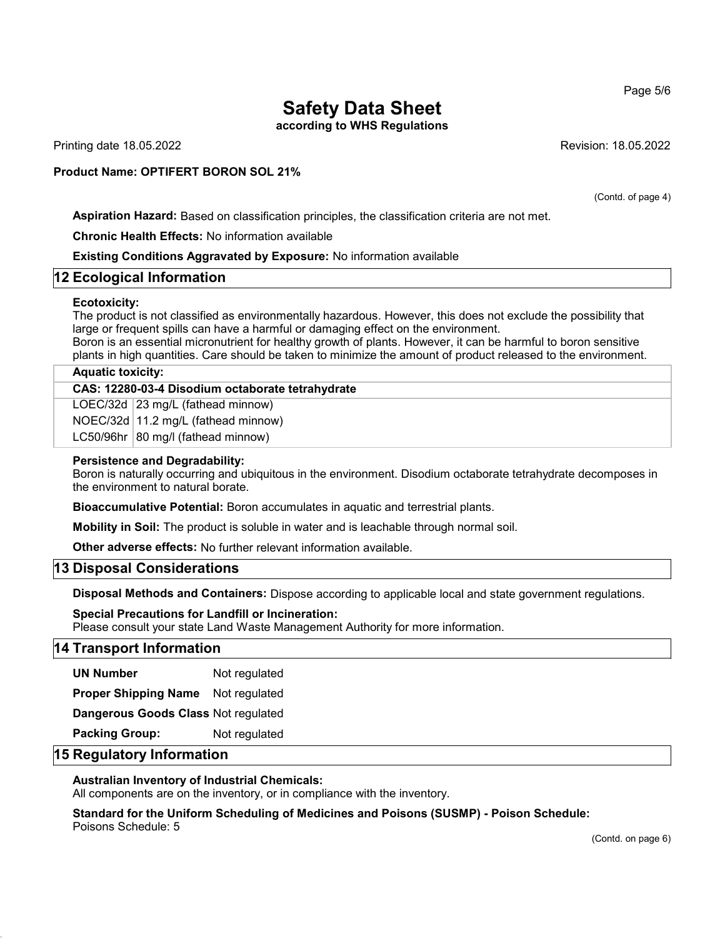according to WHS Regulations

Printing date 18.05.2022 Revision: 18.05.2022

## Product Name: OPTIFERT BORON SOL 21%

(Contd. of page 4)

Aspiration Hazard: Based on classification principles, the classification criteria are not met.

Chronic Health Effects: No information available

Existing Conditions Aggravated by Exposure: No information available

## 12 Ecological Information

## Ecotoxicity:

The product is not classified as environmentally hazardous. However, this does not exclude the possibility that large or frequent spills can have a harmful or damaging effect on the environment. Boron is an essential micronutrient for healthy growth of plants. However, it can be harmful to boron sensitive plants in high quantities. Care should be taken to minimize the amount of product released to the environment.

## Aquatic toxicity:

CAS: 12280-03-4 Disodium octaborate tetrahydrate

LOEC/32d 23 mg/L (fathead minnow)

NOEC/32d 11.2 mg/L (fathead minnow)

 $LC50/96$ hr 80 mg/l (fathead minnow)

## Persistence and Degradability:

Boron is naturally occurring and ubiquitous in the environment. Disodium octaborate tetrahydrate decomposes in the environment to natural borate.

Bioaccumulative Potential: Boron accumulates in aquatic and terrestrial plants.

Mobility in Soil: The product is soluble in water and is leachable through normal soil.

Other adverse effects: No further relevant information available.

## 13 Disposal Considerations

Disposal Methods and Containers: Dispose according to applicable local and state government regulations.

Special Precautions for Landfill or Incineration: Please consult your state Land Waste Management Authority for more information.

## 14 Transport Information

UN Number Not regulated

Proper Shipping Name Not regulated

Dangerous Goods Class Not regulated

Packing Group: Not regulated

## 15 Regulatory Information

54.0

## Australian Inventory of Industrial Chemicals:

All components are on the inventory, or in compliance with the inventory.

Standard for the Uniform Scheduling of Medicines and Poisons (SUSMP) - Poison Schedule: Poisons Schedule: 5

Page 5/6